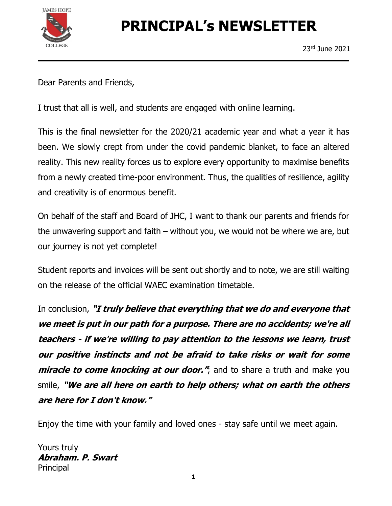

# PRINCIPAL's NEWSLETTER

Dear Parents and Friends,

I trust that all is well, and students are engaged with online learning.

This is the final newsletter for the 2020/21 academic year and what a year it has been. We slowly crept from under the covid pandemic blanket, to face an altered reality. This new reality forces us to explore every opportunity to maximise benefits from a newly created time-poor environment. Thus, the qualities of resilience, agility and creativity is of enormous benefit.

On behalf of the staff and Board of JHC, I want to thank our parents and friends for the unwavering support and faith – without you, we would not be where we are, but our journey is not yet complete!

Student reports and invoices will be sent out shortly and to note, we are still waiting on the release of the official WAEC examination timetable.

In conclusion, "I truly believe that everything that we do and everyone that we meet is put in our path for a purpose. There are no accidents; we're all teachers - if we're willing to pay attention to the lessons we learn, trust our positive instincts and not be afraid to take risks or wait for some *miracle to come knocking at our door."*, and to share a truth and make you smile, "We are all here on earth to help others; what on earth the others are here for I don't know."

Enjoy the time with your family and loved ones - stay safe until we meet again.

Yours truly Abraham. P. Swart Principal